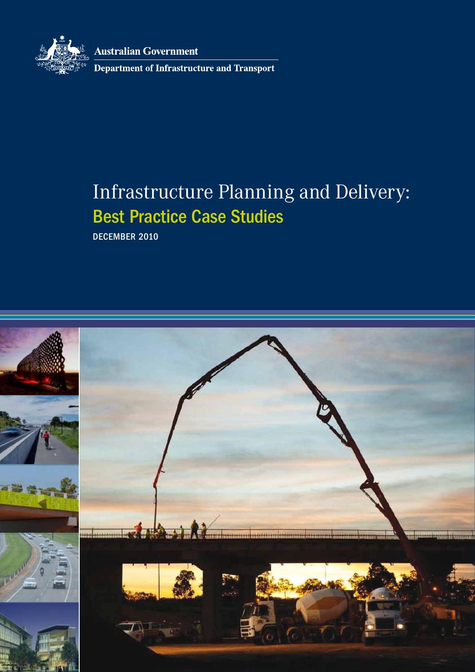

**Australian Government** 

Department of Infrastructure and Transport

# Infrastructure Planning and Delivery: Best Practice Case Studies

DECEMBER 2010

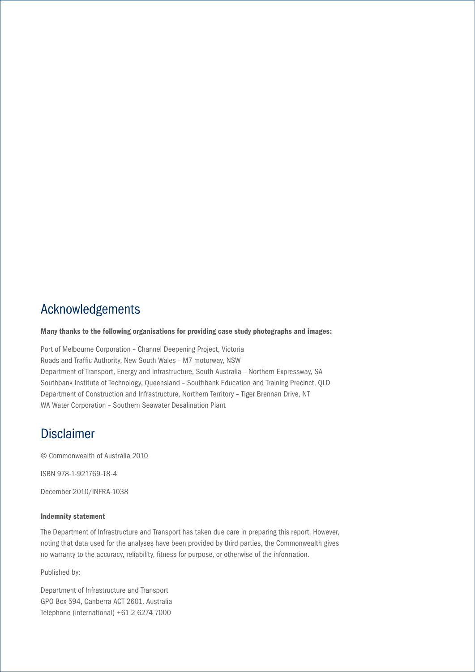# Acknowledgements

#### Many thanks to the following organisations for providing case study photographs and images:

Port of Melbourne Corporation – Channel Deepening Project, Victoria Roads and Traffic Authority, New South Wales – M7 motorway, NSW Department of Transport, Energy and Infrastructure, South Australia – Northern Expressway, SA Southbank Institute of Technology, Queensland – Southbank Education and Training Precinct, QLD Department of Construction and Infrastructure, Northern Territory – Tiger Brennan Drive, NT WA Water Corporation – Southern Seawater Desalination Plant

# Disclaimer

© Commonwealth of Australia 2010

ISBN 978-1-921769-18-4

December 2010/INFRA-1038

#### Indemnity statement

The Department of Infrastructure and Transport has taken due care in preparing this report. However, noting that data used for the analyses have been provided by third parties, the Commonwealth gives no warranty to the accuracy, reliability, fitness for purpose, or otherwise of the information.

Published by:

Department of Infrastructure and Transport GPO Box 594, Canberra ACT 2601, Australia Telephone (international) +61 2 6274 7000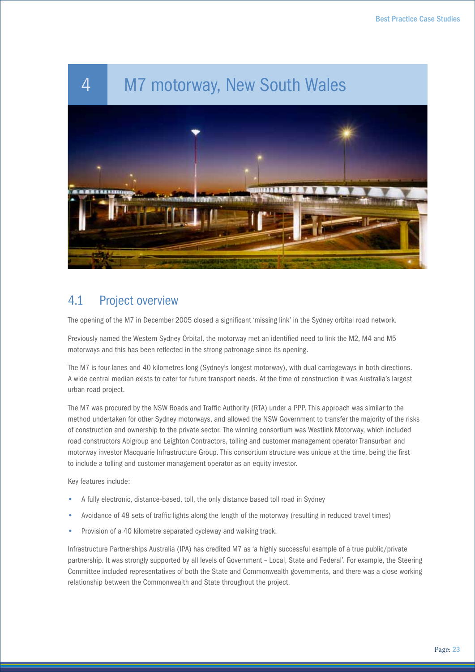

# 4.1 Project overview

The opening of the M7 in December 2005 closed a significant 'missing link' in the Sydney orbital road network.

Previously named the Western Sydney Orbital, the motorway met an identified need to link the M2, M4 and M5 motorways and this has been reflected in the strong patronage since its opening.

The M7 is four lanes and 40 kilometres long (Sydney's longest motorway), with dual carriageways in both directions. A wide central median exists to cater for future transport needs. At the time of construction it was Australia's largest urban road project.

The M7 was procured by the NSW Roads and Traffic Authority (RTA) under a PPP. This approach was similar to the method undertaken for other Sydney motorways, and allowed the NSW Government to transfer the majority of the risks of construction and ownership to the private sector. The winning consortium was Westlink Motorway, which included road constructors Abigroup and Leighton Contractors, tolling and customer management operator Transurban and motorway investor Macquarie Infrastructure Group. This consortium structure was unique at the time, being the first to include a tolling and customer management operator as an equity investor.

Key features include:

- A fully electronic, distance-based, toll, the only distance based toll road in Sydney
- Avoidance of 48 sets of traffic lights along the length of the motorway (resulting in reduced travel times)
- Provision of a 40 kilometre separated cycleway and walking track.

Infrastructure Partnerships Australia (IPA) has credited M7 as 'a highly successful example of a true public/private partnership. It was strongly supported by all levels of Government – Local, State and Federal'. For example, the Steering Committee included representatives of both the State and Commonwealth governments, and there was a close working relationship between the Commonwealth and State throughout the project.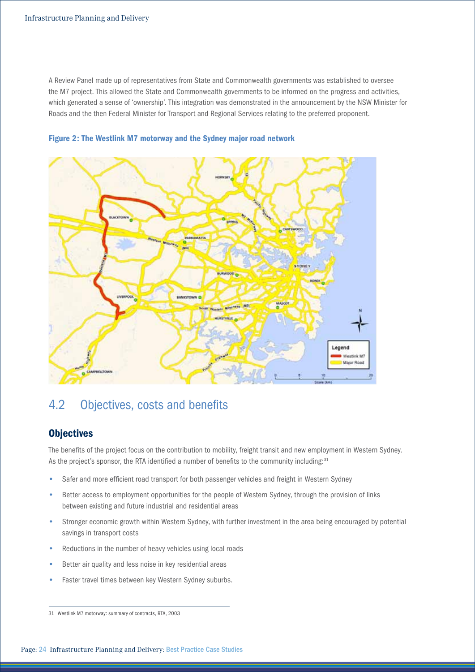A Review Panel made up of representatives from State and Commonwealth governments was established to oversee the M7 project. This allowed the State and Commonwealth governments to be informed on the progress and activities, which generated a sense of 'ownership'. This integration was demonstrated in the announcement by the NSW Minister for Roads and the then Federal Minister for Transport and Regional Services relating to the preferred proponent.



Figure 2: The Westlink M7 motorway and the Sydney major road network

# 4.2 Objectives, costs and benefits

# **Objectives**

The benefits of the project focus on the contribution to mobility, freight transit and new employment in Western Sydney. As the project's sponsor, the RTA identified a number of benefits to the community including:<sup>31</sup>

- Safer and more efficient road transport for both passenger vehicles and freight in Western Sydney
- Better access to employment opportunities for the people of Western Sydney, through the provision of links between existing and future industrial and residential areas
- Stronger economic growth within Western Sydney, with further investment in the area being encouraged by potential savings in transport costs
- Reductions in the number of heavy vehicles using local roads
- Better air quality and less noise in key residential areas
- Faster travel times between key Western Sydney suburbs.

<sup>31</sup> Westlink M7 motorway: summary of contracts, RTA, 2003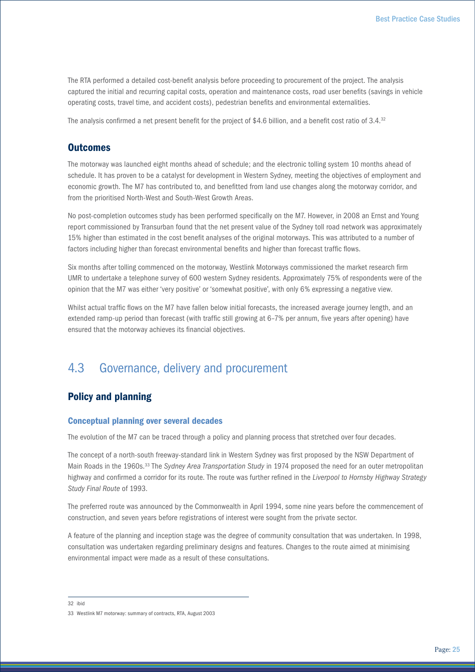The RTA performed a detailed cost-benefit analysis before proceeding to procurement of the project. The analysis captured the initial and recurring capital costs, operation and maintenance costs, road user benefits (savings in vehicle operating costs, travel time, and accident costs), pedestrian benefits and environmental externalities.

The analysis confirmed a net present benefit for the project of \$4.6 billion, and a benefit cost ratio of 3.4.<sup>32</sup>

### **Outcomes**

The motorway was launched eight months ahead of schedule; and the electronic tolling system 10 months ahead of schedule. It has proven to be a catalyst for development in Western Sydney, meeting the objectives of employment and economic growth. The M7 has contributed to, and benefitted from land use changes along the motorway corridor, and from the prioritised North-West and South-West Growth Areas.

No post-completion outcomes study has been performed specifically on the M7. However, in 2008 an Ernst and Young report commissioned by Transurban found that the net present value of the Sydney toll road network was approximately 15% higher than estimated in the cost benefit analyses of the original motorways. This was attributed to a number of factors including higher than forecast environmental benefits and higher than forecast traffic flows.

Six months after tolling commenced on the motorway*,* Westlink Motorways commissioned the market research firm UMR to undertake a telephone survey of 600 western Sydney residents. Approximately 75% of respondents were of the opinion that the M7 was either 'very positive' or 'somewhat positive', with only 6% expressing a negative view.

Whilst actual traffic flows on the M7 have fallen below initial forecasts, the increased average journey length, and an extended ramp-up period than forecast (with traffic still growing at 6–7% per annum, five years after opening) have ensured that the motorway achieves its financial objectives.

# 4.3 Governance, delivery and procurement

# Policy and planning

#### Conceptual planning over several decades

The evolution of the M7 can be traced through a policy and planning process that stretched over four decades.

The concept of a north-south freeway-standard link in Western Sydney was first proposed by the NSW Department of Main Roads in the 1960s.33 The *Sydney Area Transportation Study* in 1974 proposed the need for an outer metropolitan highway and confirmed a corridor for its route. The route was further refined in the *Liverpool to Hornsby Highway Strategy Study Final Route* of 1993.

The preferred route was announced by the Commonwealth in April 1994, some nine years before the commencement of construction, and seven years before registrations of interest were sought from the private sector.

A feature of the planning and inception stage was the degree of community consultation that was undertaken. In 1998, consultation was undertaken regarding preliminary designs and features. Changes to the route aimed at minimising environmental impact were made as a result of these consultations.

32 ibid

<sup>33</sup> Westlink M7 motorway: summary of contracts, RTA, August 2003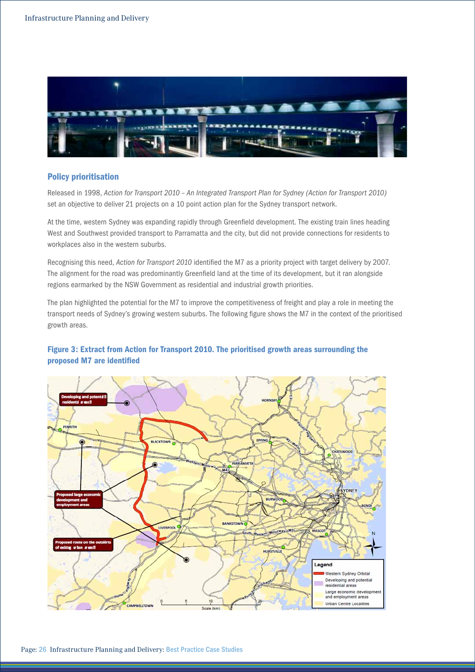

### Policy prioritisation

Released in 1998, *Action for Transport 2010 – An Integrated Transport Plan for Sydney (Action for Transport 2010)* set an objective to deliver 21 projects on a 10 point action plan for the Sydney transport network.

At the time, western Sydney was expanding rapidly through Greenfield development. The existing train lines heading West and Southwest provided transport to Parramatta and the city, but did not provide connections for residents to workplaces also in the western suburbs.

Recognising this need, *Action for Transport 2010* identified the M7 as a priority project with target delivery by 2007. The alignment for the road was predominantly Greenfield land at the time of its development, but it ran alongside regions earmarked by the NSW Government as residential and industrial growth priorities.

The plan highlighted the potential for the M7 to improve the competitiveness of freight and play a role in meeting the transport needs of Sydney's growing western suburbs. The following figure shows the M7 in the context of the prioritised growth areas.

### Figure 3: Extract from Action for Transport 2010. The prioritised growth areas surrounding the proposed M7 are identified

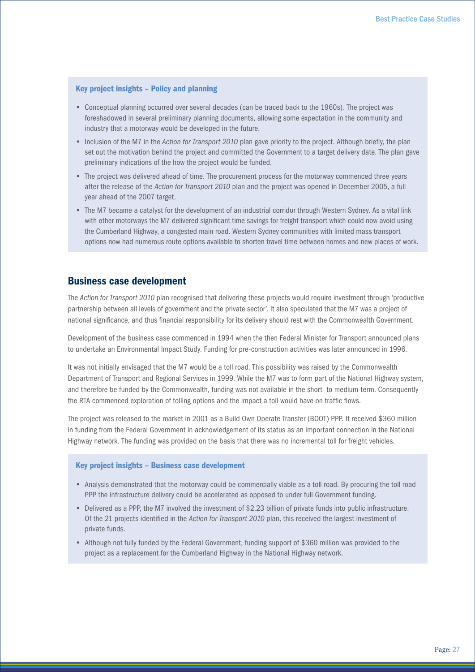#### Key project insights – Policy and planning

- Conceptual planning occurred over several decades (can be traced back to the 1960s). The project was foreshadowed in several preliminary planning documents, allowing some expectation in the community and industry that a motorway would be developed in the future.
- Inclusion of the M7 in the *Action for Transport 2010* plan gave priority to the project. Although briefly, the plan set out the motivation behind the project and committed the Government to a target delivery date. The plan gave preliminary indications of the how the project would be funded.
- The project was delivered ahead of time. The procurement process for the motorway commenced three years after the release of the *Action for Transport 2010* plan and the project was opened in December 2005, a full year ahead of the 2007 target.
- The M7 became a catalyst for the development of an industrial corridor through Western Sydney. As a vital link with other motorways the M7 delivered significant time savings for freight transport which could now avoid using the Cumberland Highway, a congested main road. Western Sydney communities with limited mass transport options now had numerous route options available to shorten travel time between homes and new places of work.

### Business case development

The *Action for Transport 2010* plan recognised that delivering these projects would require investment through 'productive partnership between all levels of government and the private sector'. It also speculated that the M7 was a project of national significance, and thus financial responsibility for its delivery should rest with the Commonwealth Government.

Development of the business case commenced in 1994 when the then Federal Minister for Transport announced plans to undertake an Environmental Impact Study. Funding for pre-construction activities was later announced in 1996.

It was not initially envisaged that the M7 would be a toll road. This possibility was raised by the Commonwealth Department of Transport and Regional Services in 1999. While the M7 was to form part of the National Highway system, and therefore be funded by the Commonwealth, funding was not available in the short- to medium-term. Consequently the RTA commenced exploration of tolling options and the impact a toll would have on traffic flows.

The project was released to the market in 2001 as a Build Own Operate Transfer (BOOT) PPP. It received \$360 million in funding from the Federal Government in acknowledgement of its status as an important connection in the National Highway network. The funding was provided on the basis that there was no incremental toll for freight vehicles.

#### Key project insights – Business case development

- Analysis demonstrated that the motorway could be commercially viable as a toll road. By procuring the toll road PPP the infrastructure delivery could be accelerated as opposed to under full Government funding.
- Delivered as a PPP, the M7 involved the investment of \$2.23 billion of private funds into public infrastructure. Of the 21 projects identified in the *Action for Transport 2010* plan, this received the largest investment of private funds.
- Although not fully funded by the Federal Government, funding support of \$360 million was provided to the project as a replacement for the Cumberland Highway in the National Highway network.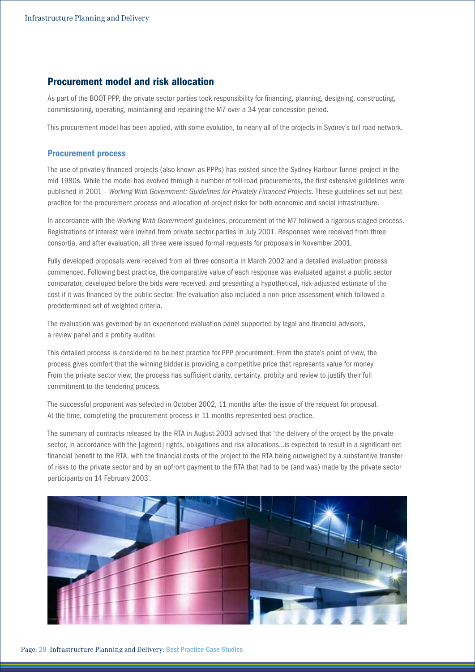# Procurement model and risk allocation

As part of the BOOT PPP, the private sector parties took responsibility for financing, planning, designing, constructing, commissioning, operating, maintaining and repairing the M7 over a 34 year concession period.

This procurement model has been applied, with some evolution, to nearly all of the projects in Sydney's toll road network.

#### Procurement process

The use of privately financed projects (also known as PPPs) has existed since the Sydney Harbour Tunnel project in the mid 1980s. While the model has evolved through a number of toll road procurements, the first extensive guidelines were published in 2001 – *Working With Government: Guidelines for Privately Financed Projects*. These guidelines set out best practice for the procurement process and allocation of project risks for both economic and social infrastructure.

In accordance with the *Working With Government* guidelines, procurement of the M7 followed a rigorous staged process. Registrations of interest were invited from private sector parties in July 2001. Responses were received from three consortia, and after evaluation, all three were issued formal requests for proposals in November 2001.

Fully developed proposals were received from all three consortia in March 2002 and a detailed evaluation process commenced. Following best practice, the comparative value of each response was evaluated against a public sector comparator, developed before the bids were received, and presenting a hypothetical, risk-adjusted estimate of the cost if it was financed by the public sector. The evaluation also included a non-price assessment which followed a predetermined set of weighted criteria.

The evaluation was governed by an experienced evaluation panel supported by legal and financial advisors, a review panel and a probity auditor.

This detailed process is considered to be best practice for PPP procurement. From the state's point of view, the process gives comfort that the winning bidder is providing a competitive price that represents value for money. From the private sector view, the process has sufficient clarity, certainty, probity and review to justify their full commitment to the tendering process.

The successful proponent was selected in October 2002, 11 months after the issue of the request for proposal. At the time, completing the procurement process in 11 months represented best practice.

The summary of contracts released by the RTA in August 2003 advised that 'the delivery of the project by the private sector, in accordance with the [agreed] rights, obligations and risk allocations…is expected to result in a significant net financial benefit to the RTA, with the financial costs of the project to the RTA being outweighed by a substantive transfer of risks to the private sector and by an upfront payment to the RTA that had to be (and was) made by the private sector participants on 14 February 2003'.

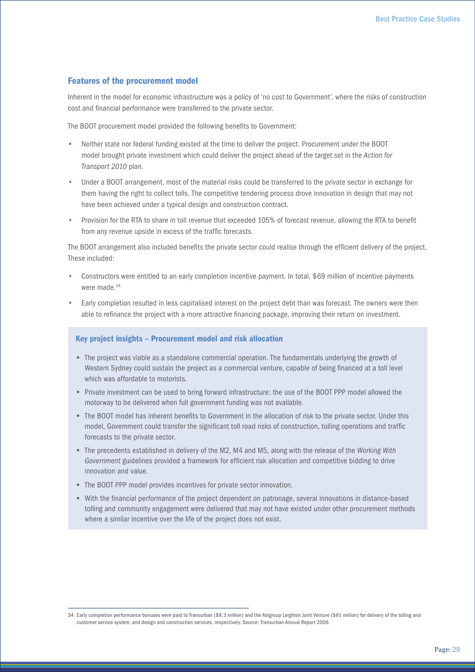#### Features of the procurement model

Inherent in the model for economic infrastructure was a policy of 'no cost to Government', where the risks of construction cost and financial performance were transferred to the private sector.

The BOOT procurement model provided the following benefits to Government:

- Neither state nor federal funding existed at the time to deliver the project. Procurement under the BOOT model brought private investment which could deliver the project ahead of the target set in the *Action for Transport 2010* plan*.*
- Under a BOOT arrangement, most of the material risks could be transferred to the private sector in exchange for them having the right to collect tolls. The competitive tendering process drove innovation in design that may not have been achieved under a typical design and construction contract.
- Provision for the RTA to share in toll revenue that exceeded 105% of forecast revenue, allowing the RTA to benefit from any revenue upside in excess of the traffic forecasts.

The BOOT arrangement also included benefits the private sector could realise through the efficient delivery of the project. These included:

- Constructors were entitled to an early completion incentive payment. In total, \$69 million of incentive payments were made  $34$
- Early completion resulted in less capitalised interest on the project debt than was forecast. The owners were then able to refinance the project with a more attractive financing package, improving their return on investment.

#### Key project insights – Procurement model and risk allocation

- The project was viable as a standalone commercial operation. The fundamentals underlying the growth of Western Sydney could sustain the project as a commercial venture, capable of being financed at a toll level which was affordable to motorists.
- Private investment can be used to bring forward infrastructure: the use of the BOOT PPP model allowed the motorway to be delivered when full government funding was not available.
- The BOOT model has inherent benefits to Government in the allocation of risk to the private sector. Under this model, Government could transfer the significant toll road risks of construction, tolling operations and traffic forecasts to the private sector.
- The precedents established in delivery of the M2, M4 and M5, along with the release of the *Working With Government* guidelines provided a framework for efficient risk allocation and competitive bidding to drive innovation and value.
- The BOOT PPP model provides incentives for private sector innovation.
- With the financial performance of the project dependent on patronage, several innovations in distance-based tolling and community engagement were delivered that may not have existed under other procurement methods where a similar incentive over the life of the project does not exist.

<sup>34</sup> Early completion performance bonuses were paid to Transurban (\$8.3 million) and the Abigroup Leighton Joint Venture (\$61 million) for delivery of the tolling and customer service system, and design and construction services, respectively. Source: Transurban Annual Report 2006.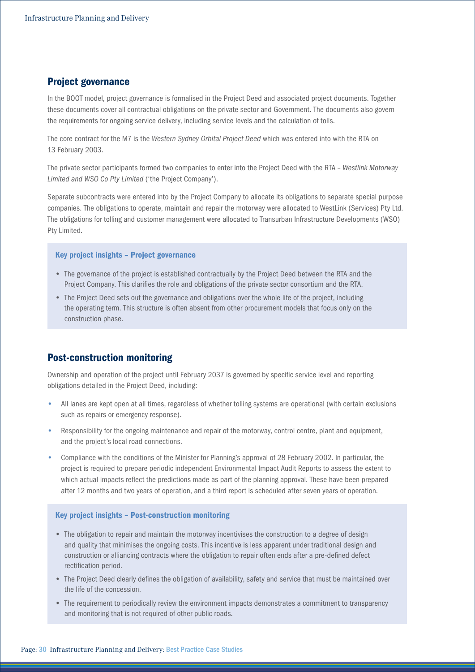## Project governance

In the BOOT model, project governance is formalised in the Project Deed and associated project documents. Together these documents cover all contractual obligations on the private sector and Government. The documents also govern the requirements for ongoing service delivery, including service levels and the calculation of tolls.

The core contract for the M7 is the *Western Sydney Orbital Project Deed* which was entered into with the RTA on 13 February 2003.

The private sector participants formed two companies to enter into the Project Deed with the RTA – *Westlink Motorway Limited and WSO Co Pty Limited* ('the Project Company').

Separate subcontracts were entered into by the Project Company to allocate its obligations to separate special purpose companies. The obligations to operate, maintain and repair the motorway were allocated to WestLink (Services) Pty Ltd. The obligations for tolling and customer management were allocated to Transurban Infrastructure Developments (WSO) Pty Limited.

#### Key project insights – Project governance

- The governance of the project is established contractually by the Project Deed between the RTA and the Project Company. This clarifies the role and obligations of the private sector consortium and the RTA.
- The Project Deed sets out the governance and obligations over the whole life of the project, including the operating term. This structure is often absent from other procurement models that focus only on the construction phase.

# Post-construction monitoring

Ownership and operation of the project until February 2037 is governed by specific service level and reporting obligations detailed in the Project Deed, including:

- All lanes are kept open at all times, regardless of whether tolling systems are operational (with certain exclusions such as repairs or emergency response).
- Responsibility for the ongoing maintenance and repair of the motorway, control centre, plant and equipment, and the project's local road connections.
- Compliance with the conditions of the Minister for Planning's approval of 28 February 2002. In particular, the project is required to prepare periodic independent Environmental Impact Audit Reports to assess the extent to which actual impacts reflect the predictions made as part of the planning approval. These have been prepared after 12 months and two years of operation, and a third report is scheduled after seven years of operation.

#### Key project insights – Post‑construction monitoring

- The obligation to repair and maintain the motorway incentivises the construction to a degree of design and quality that minimises the ongoing costs. This incentive is less apparent under traditional design and construction or alliancing contracts where the obligation to repair often ends after a pre-defined defect rectification period.
- The Project Deed clearly defines the obligation of availability, safety and service that must be maintained over the life of the concession.
- The requirement to periodically review the environment impacts demonstrates a commitment to transparency and monitoring that is not required of other public roads.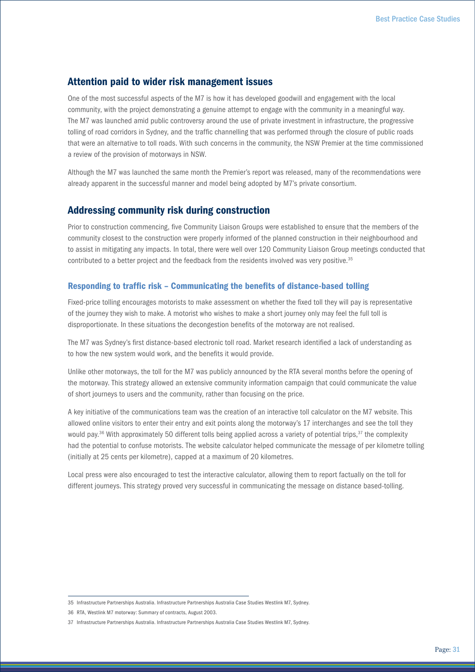# Attention paid to wider risk management issues

One of the most successful aspects of the M7 is how it has developed goodwill and engagement with the local community, with the project demonstrating a genuine attempt to engage with the community in a meaningful way. The M7 was launched amid public controversy around the use of private investment in infrastructure, the progressive tolling of road corridors in Sydney, and the traffic channelling that was performed through the closure of public roads that were an alternative to toll roads. With such concerns in the community, the NSW Premier at the time commissioned a review of the provision of motorways in NSW.

Although the M7 was launched the same month the Premier's report was released, many of the recommendations were already apparent in the successful manner and model being adopted by M7's private consortium.

### Addressing community risk during construction

Prior to construction commencing, five Community Liaison Groups were established to ensure that the members of the community closest to the construction were properly informed of the planned construction in their neighbourhood and to assist in mitigating any impacts. In total, there were well over 120 Community Liaison Group meetings conducted that contributed to a better project and the feedback from the residents involved was very positive.<sup>35</sup>

#### Responding to traffic risk – Communicating the benefits of distance‑based tolling

Fixed-price tolling encourages motorists to make assessment on whether the fixed toll they will pay is representative of the journey they wish to make. A motorist who wishes to make a short journey only may feel the full toll is disproportionate. In these situations the decongestion benefits of the motorway are not realised.

The M7 was Sydney's first distance-based electronic toll road. Market research identified a lack of understanding as to how the new system would work, and the benefits it would provide.

Unlike other motorways, the toll for the M7 was publicly announced by the RTA several months before the opening of the motorway. This strategy allowed an extensive community information campaign that could communicate the value of short journeys to users and the community, rather than focusing on the price.

A key initiative of the communications team was the creation of an interactive toll calculator on the M7 website. This allowed online visitors to enter their entry and exit points along the motorway's 17 interchanges and see the toll they would pay.<sup>36</sup> With approximately 50 different tolls being applied across a variety of potential trips,  $37$  the complexity had the potential to confuse motorists. The website calculator helped communicate the message of per kilometre tolling (initially at 25 cents per kilometre), capped at a maximum of 20 kilometres.

Local press were also encouraged to test the interactive calculator, allowing them to report factually on the toll for different journeys. This strategy proved very successful in communicating the message on distance based-tolling.

<sup>35</sup> Infrastructure Partnerships Australia. Infrastructure Partnerships Australia Case Studies Westlink M7, Sydney.

<sup>36</sup> RTA, Westlink M7 motorway: Summary of contracts, August 2003.

<sup>37</sup> Infrastructure Partnerships Australia. Infrastructure Partnerships Australia Case Studies Westlink M7, Sydney.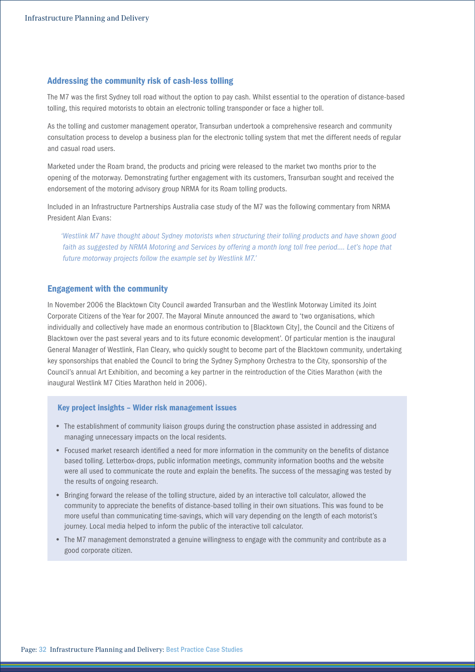#### Addressing the community risk of cash-less tolling

The M7 was the first Sydney toll road without the option to pay cash. Whilst essential to the operation of distance-based tolling, this required motorists to obtain an electronic tolling transponder or face a higher toll.

As the tolling and customer management operator, Transurban undertook a comprehensive research and community consultation process to develop a business plan for the electronic tolling system that met the different needs of regular and casual road users.

Marketed under the Roam brand, the products and pricing were released to the market two months prior to the opening of the motorway. Demonstrating further engagement with its customers, Transurban sought and received the endorsement of the motoring advisory group NRMA for its Roam tolling products.

Included in an Infrastructure Partnerships Australia case study of the M7 was the following commentary from NRMA President Alan Evans:

*'Westlink M7 have thought about Sydney motorists when structuring their tolling products and have shown good*  faith as suggested by NRMA Motoring and Services by offering a month long toll free period.... Let's hope that *future motorway projects follow the example set by Westlink M7.'*

#### Engagement with the community

In November 2006 the Blacktown City Council awarded Transurban and the Westlink Motorway Limited its Joint Corporate Citizens of the Year for 2007. The Mayoral Minute announced the award to 'two organisations, which individually and collectively have made an enormous contribution to [Blacktown City], the Council and the Citizens of Blacktown over the past several years and to its future economic development'. Of particular mention is the inaugural General Manager of Westlink, Flan Cleary, who quickly sought to become part of the Blacktown community, undertaking key sponsorships that enabled the Council to bring the Sydney Symphony Orchestra to the City, sponsorship of the Council's annual Art Exhibition, and becoming a key partner in the reintroduction of the Cities Marathon (with the inaugural Westlink M7 Cities Marathon held in 2006).

#### Key project insights – Wider risk management issues

- The establishment of community liaison groups during the construction phase assisted in addressing and managing unnecessary impacts on the local residents.
- Focused market research identified a need for more information in the community on the benefits of distance based tolling. Letterbox-drops, public information meetings, community information booths and the website were all used to communicate the route and explain the benefits. The success of the messaging was tested by the results of ongoing research.
- Bringing forward the release of the tolling structure, aided by an interactive toll calculator, allowed the community to appreciate the benefits of distance-based tolling in their own situations. This was found to be more useful than communicating time-savings, which will vary depending on the length of each motorist's journey. Local media helped to inform the public of the interactive toll calculator.
- The M7 management demonstrated a genuine willingness to engage with the community and contribute as a good corporate citizen.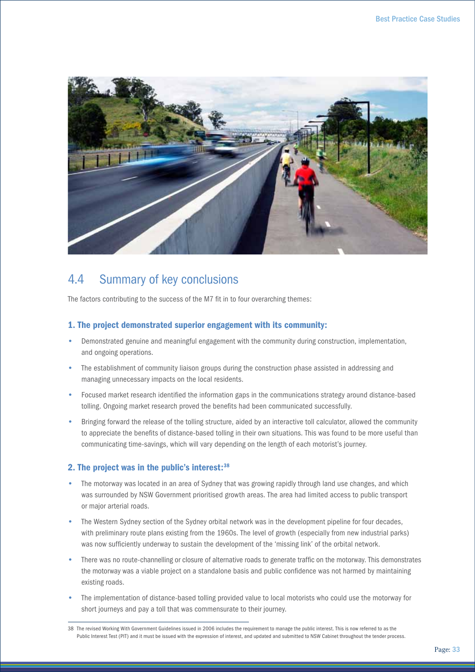

# 4.4 Summary of key conclusions

The factors contributing to the success of the M7 fit in to four overarching themes:

### 1. The project demonstrated superior engagement with its community:

- Demonstrated genuine and meaningful engagement with the community during construction, implementation, and ongoing operations.
- The establishment of community liaison groups during the construction phase assisted in addressing and managing unnecessary impacts on the local residents.
- Focused market research identified the information gaps in the communications strategy around distance-based tolling. Ongoing market research proved the benefits had been communicated successfully.
- Bringing forward the release of the tolling structure, aided by an interactive toll calculator, allowed the community to appreciate the benefits of distance-based tolling in their own situations. This was found to be more useful than communicating time-savings, which will vary depending on the length of each motorist's journey.

#### 2. The project was in the public's interest:38

- The motorway was located in an area of Sydney that was growing rapidly through land use changes, and which was surrounded by NSW Government prioritised growth areas. The area had limited access to public transport or major arterial roads.
- The Western Sydney section of the Sydney orbital network was in the development pipeline for four decades, with preliminary route plans existing from the 1960s. The level of growth (especially from new industrial parks) was now sufficiently underway to sustain the development of the 'missing link' of the orbital network.
- There was no route-channelling or closure of alternative roads to generate traffic on the motorway. This demonstrates the motorway was a viable project on a standalone basis and public confidence was not harmed by maintaining existing roads.
- The implementation of distance-based tolling provided value to local motorists who could use the motorway for short journeys and pay a toll that was commensurate to their journey.

<sup>38</sup> The revised Working With Government Guidelines issued in 2006 includes the requirement to manage the public interest. This is now referred to as the Public Interest Test (PIT) and it must be issued with the expression of interest, and updated and submitted to NSW Cabinet throughout the tender process.